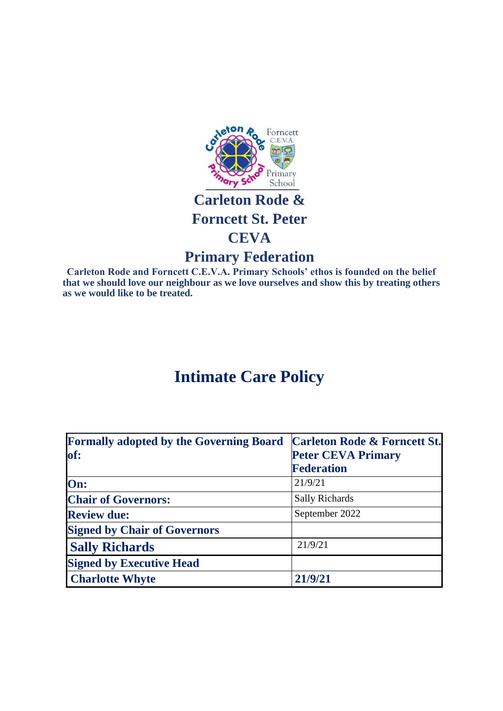

## **Carleton Rode & Forncett St. Peter CEVA**

## **Primary Federation**

**Carleton Rode and Forncett C.E.V.A. Primary Schools' ethos is founded on the belief that we should love our neighbour as we love ourselves and show this by treating others as we would like to be treated.**

# **Intimate Care Policy**

| <b>Formally adopted by the Governing Board</b> | <b>Carleton Rode &amp; Forncett St.</b> |
|------------------------------------------------|-----------------------------------------|
| of:                                            | <b>Peter CEVA Primary</b>               |
|                                                | <b>Federation</b>                       |
| On:                                            | 21/9/21                                 |
| <b>Chair of Governors:</b>                     | <b>Sally Richards</b>                   |
| <b>Review due:</b>                             | September 2022                          |
| <b>Signed by Chair of Governors</b>            |                                         |
| <b>Sally Richards</b>                          | 21/9/21                                 |
| <b>Signed by Executive Head</b>                |                                         |
| <b>Charlotte Whyte</b>                         | 21/9/21                                 |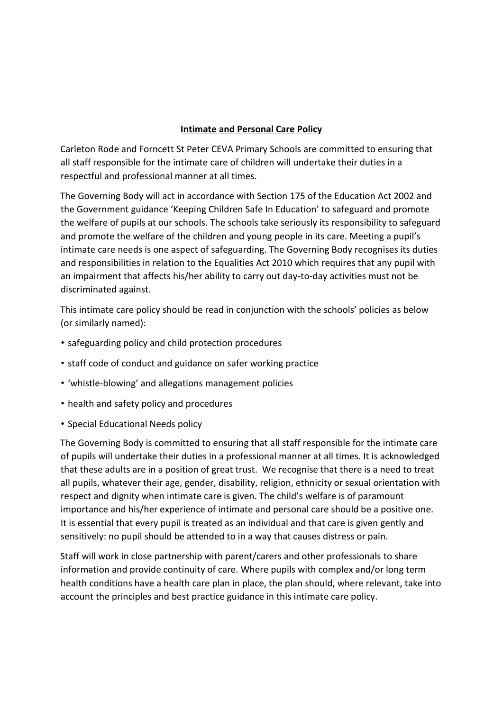#### **Intimate and Personal Care Policy**

Carleton Rode and Forncett St Peter CEVA Primary Schools are committed to ensuring that all staff responsible for the intimate care of children will undertake their duties in a respectful and professional manner at all times.

The Governing Body will act in accordance with Section 175 of the Education Act 2002 and the Government guidance 'Keeping Children Safe In Education' to safeguard and promote the welfare of pupils at our schools. The schools take seriously its responsibility to safeguard and promote the welfare of the children and young people in its care. Meeting a pupil's intimate care needs is one aspect of safeguarding. The Governing Body recognises its duties and responsibilities in relation to the Equalities Act 2010 which requires that any pupil with an impairment that affects his/her ability to carry out day-to-day activities must not be discriminated against.

This intimate care policy should be read in conjunction with the schools' policies as below (or similarly named):

- safeguarding policy and child protection procedures
- staff code of conduct and guidance on safer working practice
- 'whistle-blowing' and allegations management policies
- health and safety policy and procedures
- Special Educational Needs policy

The Governing Body is committed to ensuring that all staff responsible for the intimate care of pupils will undertake their duties in a professional manner at all times. It is acknowledged that these adults are in a position of great trust. We recognise that there is a need to treat all pupils, whatever their age, gender, disability, religion, ethnicity or sexual orientation with respect and dignity when intimate care is given. The child's welfare is of paramount importance and his/her experience of intimate and personal care should be a positive one. It is essential that every pupil is treated as an individual and that care is given gently and sensitively: no pupil should be attended to in a way that causes distress or pain.

Staff will work in close partnership with parent/carers and other professionals to share information and provide continuity of care. Where pupils with complex and/or long term health conditions have a health care plan in place, the plan should, where relevant, take into account the principles and best practice guidance in this intimate care policy.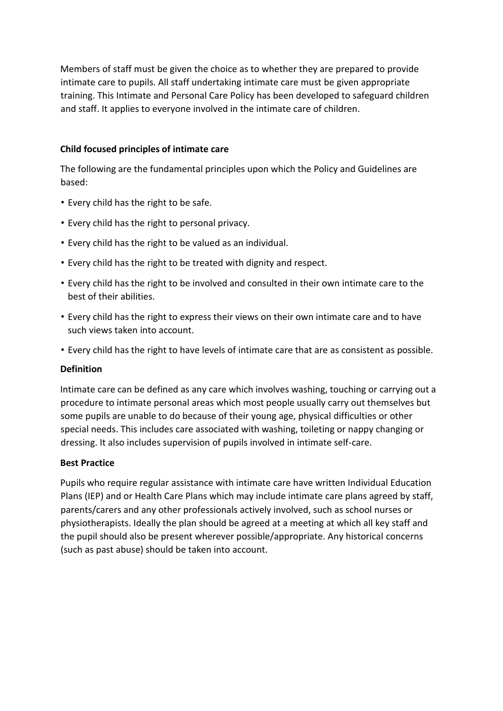Members of staff must be given the choice as to whether they are prepared to provide intimate care to pupils. All staff undertaking intimate care must be given appropriate training. This Intimate and Personal Care Policy has been developed to safeguard children and staff. It applies to everyone involved in the intimate care of children.

#### **Child focused principles of intimate care**

The following are the fundamental principles upon which the Policy and Guidelines are based:

- Every child has the right to be safe.
- Every child has the right to personal privacy.
- Every child has the right to be valued as an individual.
- Every child has the right to be treated with dignity and respect.
- Every child has the right to be involved and consulted in their own intimate care to the best of their abilities.
- Every child has the right to express their views on their own intimate care and to have such views taken into account.
- Every child has the right to have levels of intimate care that are as consistent as possible.

### **Definition**

Intimate care can be defined as any care which involves washing, touching or carrying out a procedure to intimate personal areas which most people usually carry out themselves but some pupils are unable to do because of their young age, physical difficulties or other special needs. This includes care associated with washing, toileting or nappy changing or dressing. It also includes supervision of pupils involved in intimate self-care.

### **Best Practice**

Pupils who require regular assistance with intimate care have written Individual Education Plans (IEP) and or Health Care Plans which may include intimate care plans agreed by staff, parents/carers and any other professionals actively involved, such as school nurses or physiotherapists. Ideally the plan should be agreed at a meeting at which all key staff and the pupil should also be present wherever possible/appropriate. Any historical concerns (such as past abuse) should be taken into account.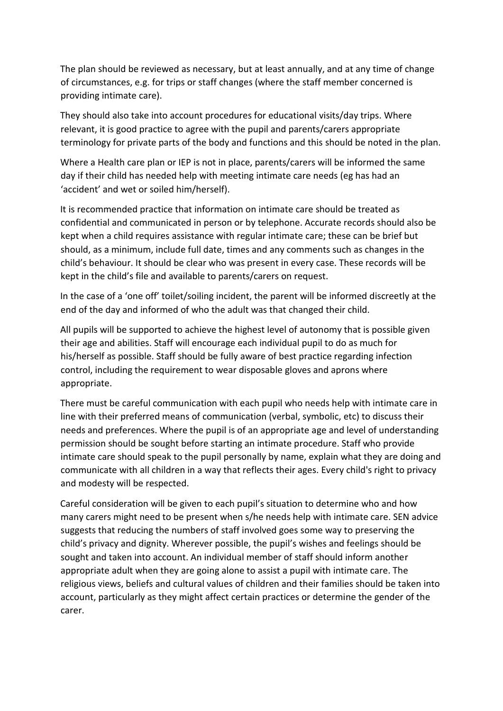The plan should be reviewed as necessary, but at least annually, and at any time of change of circumstances, e.g. for trips or staff changes (where the staff member concerned is providing intimate care).

They should also take into account procedures for educational visits/day trips. Where relevant, it is good practice to agree with the pupil and parents/carers appropriate terminology for private parts of the body and functions and this should be noted in the plan.

Where a Health care plan or IEP is not in place, parents/carers will be informed the same day if their child has needed help with meeting intimate care needs (eg has had an 'accident' and wet or soiled him/herself).

It is recommended practice that information on intimate care should be treated as confidential and communicated in person or by telephone. Accurate records should also be kept when a child requires assistance with regular intimate care; these can be brief but should, as a minimum, include full date, times and any comments such as changes in the child's behaviour. It should be clear who was present in every case. These records will be kept in the child's file and available to parents/carers on request.

In the case of a 'one off' toilet/soiling incident, the parent will be informed discreetly at the end of the day and informed of who the adult was that changed their child.

All pupils will be supported to achieve the highest level of autonomy that is possible given their age and abilities. Staff will encourage each individual pupil to do as much for his/herself as possible. Staff should be fully aware of best practice regarding infection control, including the requirement to wear disposable gloves and aprons where appropriate.

There must be careful communication with each pupil who needs help with intimate care in line with their preferred means of communication (verbal, symbolic, etc) to discuss their needs and preferences. Where the pupil is of an appropriate age and level of understanding permission should be sought before starting an intimate procedure. Staff who provide intimate care should speak to the pupil personally by name, explain what they are doing and communicate with all children in a way that reflects their ages. Every child's right to privacy and modesty will be respected.

Careful consideration will be given to each pupil's situation to determine who and how many carers might need to be present when s/he needs help with intimate care. SEN advice suggests that reducing the numbers of staff involved goes some way to preserving the child's privacy and dignity. Wherever possible, the pupil's wishes and feelings should be sought and taken into account. An individual member of staff should inform another appropriate adult when they are going alone to assist a pupil with intimate care. The religious views, beliefs and cultural values of children and their families should be taken into account, particularly as they might affect certain practices or determine the gender of the carer.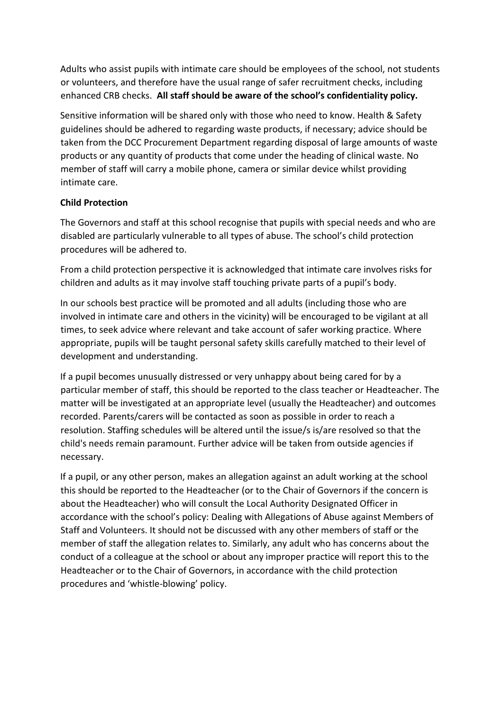Adults who assist pupils with intimate care should be employees of the school, not students or volunteers, and therefore have the usual range of safer recruitment checks, including enhanced CRB checks. **All staff should be aware of the school's confidentiality policy.** 

Sensitive information will be shared only with those who need to know. Health & Safety guidelines should be adhered to regarding waste products, if necessary; advice should be taken from the DCC Procurement Department regarding disposal of large amounts of waste products or any quantity of products that come under the heading of clinical waste. No member of staff will carry a mobile phone, camera or similar device whilst providing intimate care.

## **Child Protection**

The Governors and staff at this school recognise that pupils with special needs and who are disabled are particularly vulnerable to all types of abuse. The school's child protection procedures will be adhered to.

From a child protection perspective it is acknowledged that intimate care involves risks for children and adults as it may involve staff touching private parts of a pupil's body.

In our schools best practice will be promoted and all adults (including those who are involved in intimate care and others in the vicinity) will be encouraged to be vigilant at all times, to seek advice where relevant and take account of safer working practice. Where appropriate, pupils will be taught personal safety skills carefully matched to their level of development and understanding.

If a pupil becomes unusually distressed or very unhappy about being cared for by a particular member of staff, this should be reported to the class teacher or Headteacher. The matter will be investigated at an appropriate level (usually the Headteacher) and outcomes recorded. Parents/carers will be contacted as soon as possible in order to reach a resolution. Staffing schedules will be altered until the issue/s is/are resolved so that the child's needs remain paramount. Further advice will be taken from outside agencies if necessary.

If a pupil, or any other person, makes an allegation against an adult working at the school this should be reported to the Headteacher (or to the Chair of Governors if the concern is about the Headteacher) who will consult the Local Authority Designated Officer in accordance with the school's policy: Dealing with Allegations of Abuse against Members of Staff and Volunteers. It should not be discussed with any other members of staff or the member of staff the allegation relates to. Similarly, any adult who has concerns about the conduct of a colleague at the school or about any improper practice will report this to the Headteacher or to the Chair of Governors, in accordance with the child protection procedures and 'whistle-blowing' policy.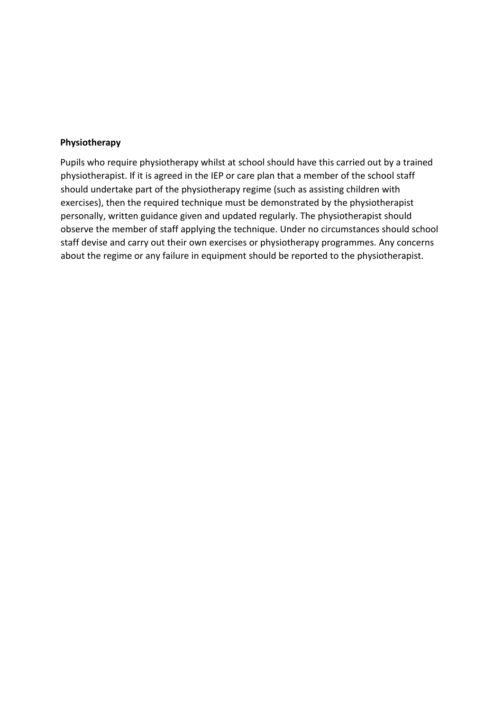#### **Physiotherapy**

Pupils who require physiotherapy whilst at school should have this carried out by a trained physiotherapist. If it is agreed in the IEP or care plan that a member of the school staff should undertake part of the physiotherapy regime (such as assisting children with exercises), then the required technique must be demonstrated by the physiotherapist personally, written guidance given and updated regularly. The physiotherapist should observe the member of staff applying the technique. Under no circumstances should school staff devise and carry out their own exercises or physiotherapy programmes. Any concerns about the regime or any failure in equipment should be reported to the physiotherapist.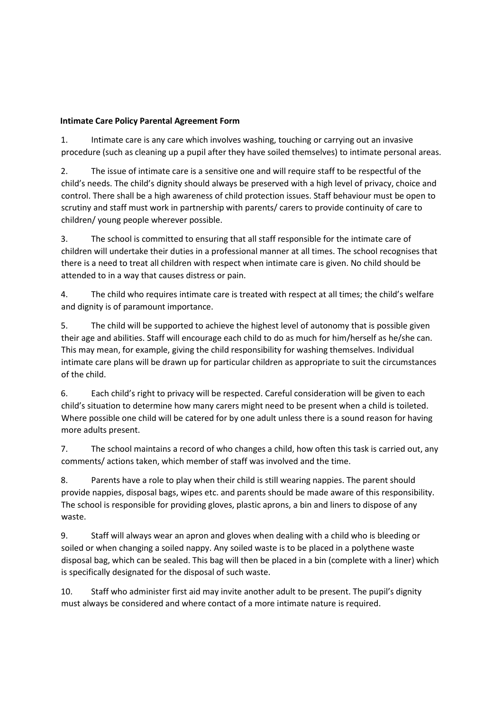#### **Intimate Care Policy Parental Agreement Form**

1. Intimate care is any care which involves washing, touching or carrying out an invasive procedure (such as cleaning up a pupil after they have soiled themselves) to intimate personal areas.

2. The issue of intimate care is a sensitive one and will require staff to be respectful of the child's needs. The child's dignity should always be preserved with a high level of privacy, choice and control. There shall be a high awareness of child protection issues. Staff behaviour must be open to scrutiny and staff must work in partnership with parents/ carers to provide continuity of care to children/ young people wherever possible.

3. The school is committed to ensuring that all staff responsible for the intimate care of children will undertake their duties in a professional manner at all times. The school recognises that there is a need to treat all children with respect when intimate care is given. No child should be attended to in a way that causes distress or pain.

4. The child who requires intimate care is treated with respect at all times; the child's welfare and dignity is of paramount importance.

5. The child will be supported to achieve the highest level of autonomy that is possible given their age and abilities. Staff will encourage each child to do as much for him/herself as he/she can. This may mean, for example, giving the child responsibility for washing themselves. Individual intimate care plans will be drawn up for particular children as appropriate to suit the circumstances of the child.

6. Each child's right to privacy will be respected. Careful consideration will be given to each child's situation to determine how many carers might need to be present when a child is toileted. Where possible one child will be catered for by one adult unless there is a sound reason for having more adults present.

7. The school maintains a record of who changes a child, how often this task is carried out, any comments/ actions taken, which member of staff was involved and the time.

8. Parents have a role to play when their child is still wearing nappies. The parent should provide nappies, disposal bags, wipes etc. and parents should be made aware of this responsibility. The school is responsible for providing gloves, plastic aprons, a bin and liners to dispose of any waste.

9. Staff will always wear an apron and gloves when dealing with a child who is bleeding or soiled or when changing a soiled nappy. Any soiled waste is to be placed in a polythene waste disposal bag, which can be sealed. This bag will then be placed in a bin (complete with a liner) which is specifically designated for the disposal of such waste.

10. Staff who administer first aid may invite another adult to be present. The pupil's dignity must always be considered and where contact of a more intimate nature is required.